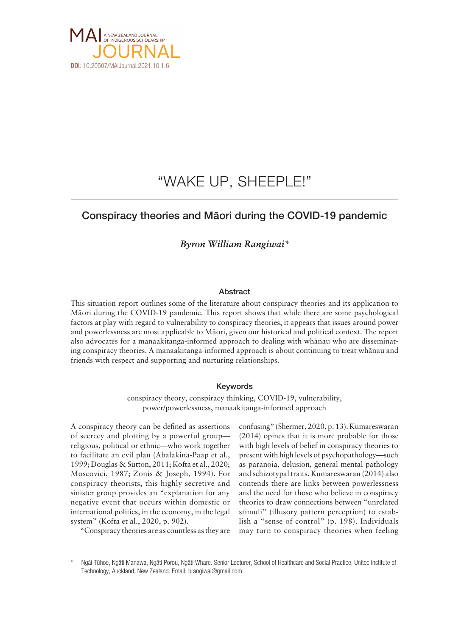

# "WAKE UP, SHEEPLE!"

## Conspiracy theories and Mäori during the COVID-19 pandemic

*Byron William Rangiwai\**

### **Abstract**

This situation report outlines some of the literature about conspiracy theories and its application to Mäori during the COVID-19 pandemic. This report shows that while there are some psychological factors at play with regard to vulnerability to conspiracy theories, it appears that issues around power and powerlessness are most applicable to Mäori, given our historical and political context. The report also advocates for a manaakitanga-informed approach to dealing with whänau who are disseminating conspiracy theories. A manaakitanga-informed approach is about continuing to treat whänau and friends with respect and supporting and nurturing relationships.

### Keywords

conspiracy theory, conspiracy thinking, COVID-19, vulnerability, power/powerlessness, manaakitanga-informed approach

A conspiracy theory can be defined as assertions of secrecy and plotting by a powerful group religious, political or ethnic—who work together to facilitate an evil plan (Abalakina-Paap et al., 1999; Douglas & Sutton, 2011; Kofta et al., 2020; Moscovici, 1987; Zonis & Joseph, 1994). For conspiracy theorists, this highly secretive and sinister group provides an "explanation for any negative event that occurs within domestic or international politics, in the economy, in the legal system" (Kofta et al., 2020, p. 902).

"Conspiracy theories are as countless as they are

confusing" (Shermer, 2020, p. 13). Kumareswaran (2014) opines that it is more probable for those with high levels of belief in conspiracy theories to present with high levels of psychopathology—such as paranoia, delusion, general mental pathology and schizotypal traits. Kumareswaran (2014) also contends there are links between powerlessness and the need for those who believe in conspiracy theories to draw connections between "unrelated stimuli" (illusory pattern perception) to establish a "sense of control" (p. 198). Individuals may turn to conspiracy theories when feeling

Ngäi Tühoe, Ngäti Manawa, Ngäti Porou, Ngäti Whare. Senior Lecturer, School of Healthcare and Social Practice, Unitec Institute of Technology, Auckland, New Zealand. Email: [brangiwai@gmail.com](mailto:brangiwai@gmail.com)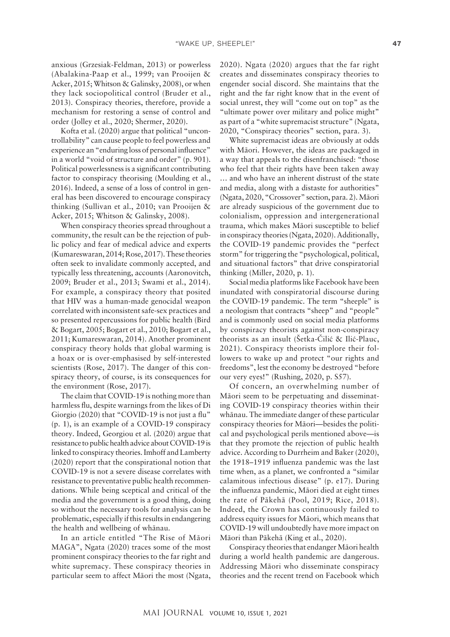anxious (Grzesiak-Feldman, 2013) or powerless (Abalakina-Paap et al., 1999; van Prooijen & Acker, 2015; Whitson & Galinsky, 2008), or when they lack sociopolitical control (Bruder et al., 2013). Conspiracy theories, therefore, provide a mechanism for restoring a sense of control and order (Jolley et al., 2020; Shermer, 2020).

Kofta et al. (2020) argue that political "uncontrollability" can cause people to feel powerless and experience an "enduring loss of personal influence" in a world "void of structure and order" (p. 901). Political powerlessness is a significant contributing factor to conspiracy theorising (Moulding et al., 2016). Indeed, a sense of a loss of control in general has been discovered to encourage conspiracy thinking (Sullivan et al., 2010; van Prooijen & Acker, 2015; Whitson & Galinsky, 2008).

When conspiracy theories spread throughout a community, the result can be the rejection of public policy and fear of medical advice and experts (Kumareswaran, 2014; Rose, 2017). These theories often seek to invalidate commonly accepted, and typically less threatening, accounts (Aaronovitch, 2009; Bruder et al., 2013; Swami et al., 2014). For example, a conspiracy theory that posited that HIV was a human-made genocidal weapon correlated with inconsistent safe-sex practices and so presented repercussions for public health (Bird & Bogart, 2005; Bogart et al., 2010; Bogart et al., 2011; Kumareswaran, 2014). Another prominent conspiracy theory holds that global warming is a hoax or is over-emphasised by self-interested scientists (Rose, 2017). The danger of this conspiracy theory, of course, is its consequences for the environment (Rose, 2017).

The claim that COVID-19 is nothing more than harmless flu, despite warnings from the likes of Di Giorgio (2020) that "COVID-19 is not just a flu" (p. 1), is an example of a COVID-19 conspiracy theory. Indeed, Georgiou et al. (2020) argue that resistance to public health advice about COVID-19 is linked to conspiracy theories. Imhoff and Lamberty (2020) report that the conspirational notion that COVID-19 is not a severe disease correlates with resistance to preventative public health recommendations. While being sceptical and critical of the media and the government is a good thing, doing so without the necessary tools for analysis can be problematic, especially if this results in endangering the health and wellbeing of whänau.

In an article entitled "The Rise of Mäori MAGA", Ngata (2020) traces some of the most prominent conspiracy theories to the far right and white supremacy. These conspiracy theories in particular seem to affect Mäori the most (Ngata, 2020). Ngata (2020) argues that the far right creates and disseminates conspiracy theories to engender social discord. She maintains that the right and the far right know that in the event of social unrest, they will "come out on top" as the "ultimate power over military and police might" as part of a "white supremacist structure" (Ngata, 2020, "Conspiracy theories" section, para. 3).

White supremacist ideas are obviously at odds with Mäori. However, the ideas are packaged in a way that appeals to the disenfranchised: "those who feel that their rights have been taken away … and who have an inherent distrust of the state and media, along with a distaste for authorities" (Ngata, 2020, "Crossover" section, para. 2). Mäori are already suspicious of the government due to colonialism, oppression and intergenerational trauma, which makes Mäori susceptible to belief in conspiracy theories (Ngata, 2020). Additionally, the COVID-19 pandemic provides the "perfect storm" for triggering the "psychological, political, and situational factors" that drive conspiratorial thinking (Miller, 2020, p. 1).

Social media platforms like Facebook have been inundated with conspiratorial discourse during the COVID-19 pandemic. The term "sheeple" is a neologism that contracts "sheep" and "people" and is commonly used on social media platforms by conspiracy theorists against non-conspiracy theorists as an insult (Šetka-Čilić & Ilić-Plauc, 2021). Conspiracy theorists implore their followers to wake up and protect "our rights and freedoms", lest the economy be destroyed "before our very eyes!" (Rushing, 2020, p. S57).

Of concern, an overwhelming number of Mäori seem to be perpetuating and disseminating COVID-19 conspiracy theories within their whänau. The immediate danger of these particular conspiracy theories for Mäori—besides the political and psychological perils mentioned above—is that they promote the rejection of public health advice. According to Durrheim and Baker (2020), the 1918–1919 influenza pandemic was the last time when, as a planet, we confronted a "similar calamitous infectious disease" (p. e17). During the influenza pandemic, Mäori died at eight times the rate of Päkehä (Pool, 2019; Rice, 2018). Indeed, the Crown has continuously failed to address equity issues for Mäori, which means that COVID-19 will undoubtedly have more impact on Mäori than Päkehä (King et al., 2020).

Conspiracy theories that endanger Mäori health during a world health pandemic are dangerous. Addressing Mäori who disseminate conspiracy theories and the recent trend on Facebook which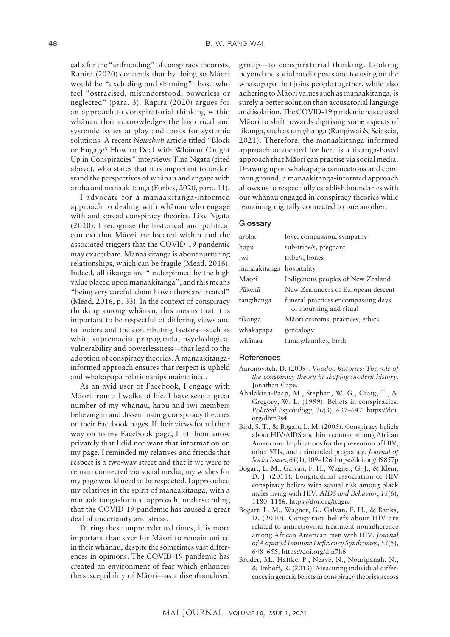calls for the "unfriending" of conspiracy theorists, Rapira (2020) contends that by doing so Mäori would be "excluding and shaming" those who feel "ostracised, misunderstood, powerless or neglected" (para. 3). Rapira (2020) argues for an approach to conspiratorial thinking within whänau that acknowledges the historical and systemic issues at play and looks for systemic solutions. A recent *Newshub* article titled "Block or Engage? How to Deal with Whänau Caught Up in Conspiracies" interviews Tina Ngata (cited above), who states that it is important to understand the perspectives of whänau and engage with aroha and manaakitanga (Forbes, 2020, para. 11).

I advocate for a manaakitanga-informed approach to dealing with whänau who engage with and spread conspiracy theories. Like Ngata (2020), I recognise the historical and political context that Mäori are located within and the associated triggers that the COVID-19 pandemic may exacerbate. Manaakitanga is about nurturing relationships, which can be fragile (Mead, 2016). Indeed, all tikanga are "underpinned by the high value placed upon manaakitanga", and this means "being very careful about how others are treated" (Mead, 2016, p. 33). In the context of conspiracy thinking among whänau, this means that it is important to be respectful of differing views and to understand the contributing factors—such as white supremacist propaganda, psychological vulnerability and powerlessness—that lead to the adoption of conspiracy theories. A manaakitangainformed approach ensures that respect is upheld and whakapapa relationships maintained.

As an avid user of Facebook, I engage with Mäori from all walks of life. I have seen a great number of my whänau, hapü and iwi members believing in and disseminating conspiracy theories on their Facebook pages. If their views found their way on to my Facebook page, I let them know privately that I did not want that information on my page. I reminded my relatives and friends that respect is a two-way street and that if we were to remain connected via social media, my wishes for my page would need to be respected. I approached my relatives in the spirit of manaakitanga, with a manaakitanga-formed approach, understanding that the COVID-19 pandemic has caused a great deal of uncertainty and stress.

During these unprecedented times, it is more important than ever for Mäori to remain united in their whänau, despite the sometimes vast differences in opinions. The COVID-19 pandemic has created an environment of fear which enhances the susceptibility of Mäori—as a disenfranchised

group—to conspiratorial thinking. Looking beyond the social media posts and focusing on the whakapapa that joins people together, while also adhering to Mäori values such as manaakitanga, is surely a better solution than accusatorial language and isolation. The COVID-19 pandemic has caused Mäori to shift towards digitising some aspects of tikanga, such as tangihanga (Rangiwai & Sciascia, 2021). Therefore, the manaakitanga-informed approach advocated for here is a tikanga-based approach that Mäori can practise via social media. Drawing upon whakapapa connections and common ground, a manaakitanga-informed approach allows us to respectfully establish boundaries with our whänau engaged in conspiracy theories while remaining digitally connected to one another.

#### **Glossary**

| aroha                    | love, compassion, sympathy                                    |
|--------------------------|---------------------------------------------------------------|
| hapū                     | sub-tribe/s, pregnant                                         |
| iwi                      | tribe/s, bones                                                |
| manaakitanga hospitality |                                                               |
| Māori                    | Indigenous peoples of New Zealand                             |
| Pākehā                   | New Zealanders of European descent                            |
| tangihanga               | funeral practices encompassing days<br>of mourning and ritual |
| tikanga                  | Māori customs, practices, ethics                              |
| whakapapa                | genealogy                                                     |
| whānau                   | family/families, birth                                        |

#### **References**

- Aaronovitch, D. (2009). *Voodoo histories: The role of the conspiracy theory in shaping modern history.* Jonathan Cape.
- Abalakina-Paap, M., Stephan, W. G., Craig, T., & Gregory, W. L. (1999). Beliefs in conspiracies. *Political Psychology*, *20*(3), 637–647. [https://doi.](https://doi.org/dhm3s4) [org/dhm3s4](https://doi.org/dhm3s4)
- Bird, S. T., & Bogart, L. M. (2005). Conspiracy beliefs about HIV/AIDS and birth control among African Americans: Implications for the prevention of HIV, other STIs, and unintended pregnancy. *Journal of Social Issues*, *61*(1), 109–126.<https://doi.org/d9857p>
- Bogart, L. M., Galvan, F. H., Wagner, G. J., & Klein, D. J. (2011). Longitudinal association of HIV conspiracy beliefs with sexual risk among black males living with HIV. *AIDS and Behavior*, *15*(6), 1180–1186. <https://doi.org/ftqgrc>
- Bogart, L. M., Wagner, G., Galvan, F. H., & Banks, D. (2010). Conspiracy beliefs about HIV are related to antiretroviral treatment nonadherence among African American men with HIV. *Journal of Acquired Immune Deficiency Syndromes*, *53*(5), 648–655. <https://doi.org/djn7h6>
- Bruder, M., Haffke, P., Neave, N., Nouripanah, N., & Imhoff, R. (2013). Measuring individual differences in generic beliefs in conspiracy theories across